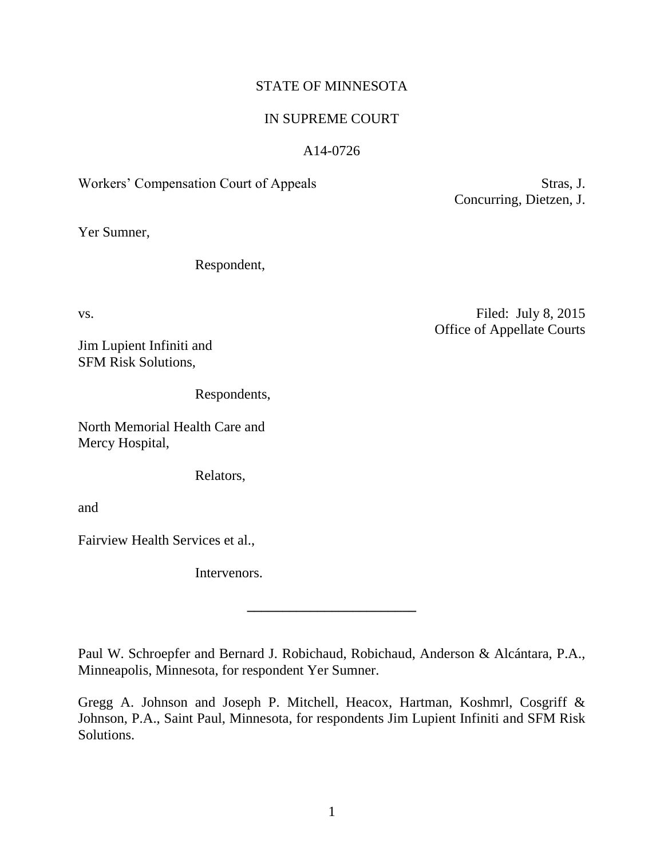## STATE OF MINNESOTA

## IN SUPREME COURT

#### A14-0726

Workers' Compensation Court of Appeals Stras, J.

Concurring, Dietzen, J.

Yer Sumner,

Respondent,

vs. Filed: July 8, 2015 Office of Appellate Courts

Jim Lupient Infiniti and SFM Risk Solutions,

Respondents,

North Memorial Health Care and Mercy Hospital,

Relators,

and

Fairview Health Services et al.,

Intervenors.

Paul W. Schroepfer and Bernard J. Robichaud, Robichaud, Anderson & Alcántara, P.A., Minneapolis, Minnesota, for respondent Yer Sumner.

**\_\_\_\_\_\_\_\_\_\_\_\_\_\_\_\_\_\_\_\_\_\_\_\_**

Gregg A. Johnson and Joseph P. Mitchell, Heacox, Hartman, Koshmrl, Cosgriff & Johnson, P.A., Saint Paul, Minnesota, for respondents Jim Lupient Infiniti and SFM Risk Solutions.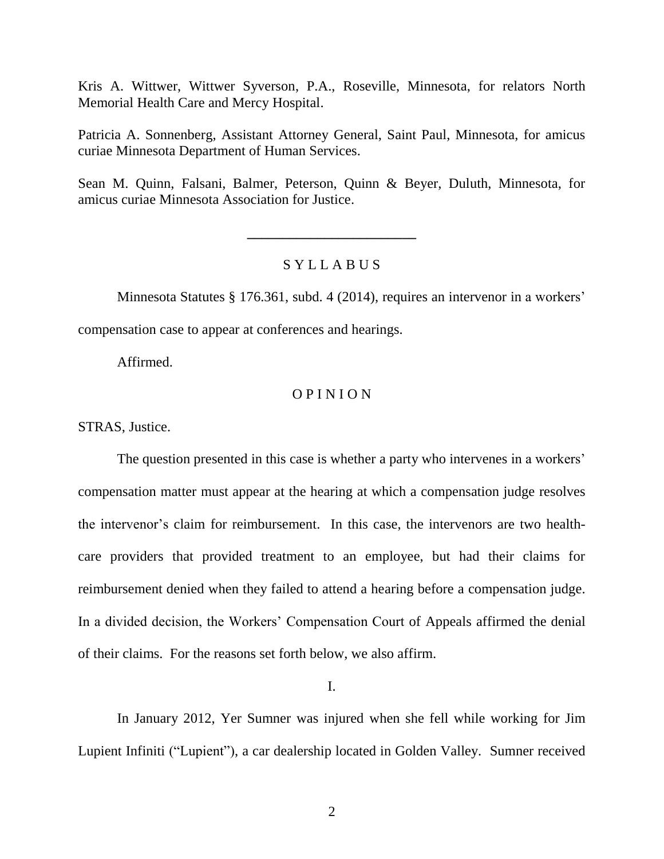Kris A. Wittwer, Wittwer Syverson, P.A., Roseville, Minnesota, for relators North Memorial Health Care and Mercy Hospital.

Patricia A. Sonnenberg, Assistant Attorney General, Saint Paul, Minnesota, for amicus curiae Minnesota Department of Human Services.

Sean M. Quinn, Falsani, Balmer, Peterson, Quinn & Beyer, Duluth, Minnesota, for amicus curiae Minnesota Association for Justice.

# S Y L L A B U S

**\_\_\_\_\_\_\_\_\_\_\_\_\_\_\_\_\_\_\_\_\_\_\_\_**

Minnesota Statutes § 176.361, subd. 4 (2014), requires an intervenor in a workers' compensation case to appear at conferences and hearings.

Affirmed.

### O P I N I O N

STRAS, Justice.

The question presented in this case is whether a party who intervenes in a workers' compensation matter must appear at the hearing at which a compensation judge resolves the intervenor's claim for reimbursement. In this case, the intervenors are two healthcare providers that provided treatment to an employee, but had their claims for reimbursement denied when they failed to attend a hearing before a compensation judge. In a divided decision, the Workers' Compensation Court of Appeals affirmed the denial of their claims. For the reasons set forth below, we also affirm.

I.

In January 2012, Yer Sumner was injured when she fell while working for Jim Lupient Infiniti ("Lupient"), a car dealership located in Golden Valley. Sumner received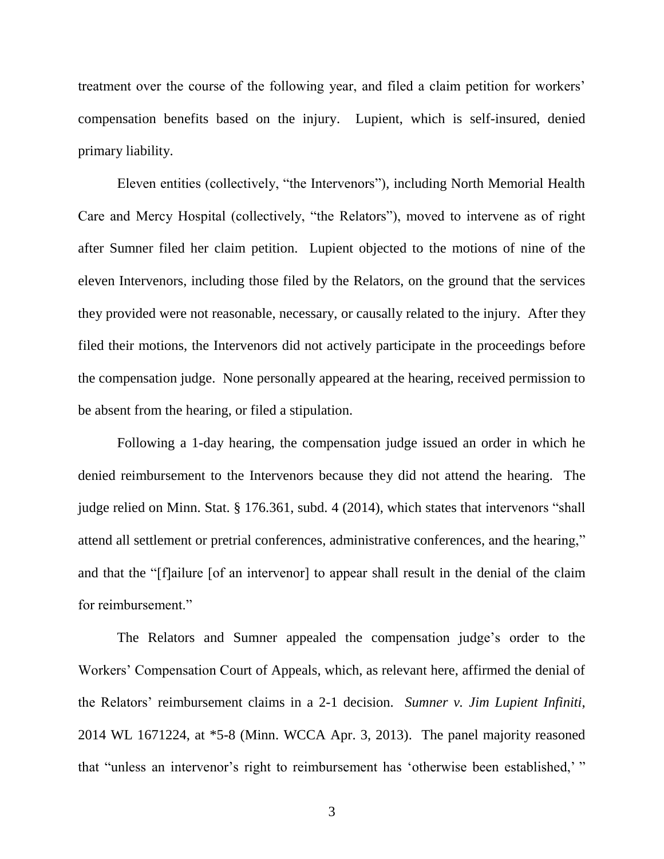treatment over the course of the following year, and filed a claim petition for workers' compensation benefits based on the injury. Lupient, which is self-insured, denied primary liability.

Eleven entities (collectively, "the Intervenors"), including North Memorial Health Care and Mercy Hospital (collectively, "the Relators"), moved to intervene as of right after Sumner filed her claim petition. Lupient objected to the motions of nine of the eleven Intervenors, including those filed by the Relators, on the ground that the services they provided were not reasonable, necessary, or causally related to the injury. After they filed their motions, the Intervenors did not actively participate in the proceedings before the compensation judge. None personally appeared at the hearing, received permission to be absent from the hearing, or filed a stipulation.

Following a 1-day hearing, the compensation judge issued an order in which he denied reimbursement to the Intervenors because they did not attend the hearing. The judge relied on Minn. Stat. § 176.361, subd. 4 (2014), which states that intervenors "shall attend all settlement or pretrial conferences, administrative conferences, and the hearing," and that the "[f]ailure [of an intervenor] to appear shall result in the denial of the claim for reimbursement."

The Relators and Sumner appealed the compensation judge's order to the Workers' Compensation Court of Appeals, which, as relevant here, affirmed the denial of the Relators' reimbursement claims in a 2-1 decision. *Sumner v. Jim Lupient Infiniti*, 2014 WL 1671224, at \*5-8 (Minn. WCCA Apr. 3, 2013). The panel majority reasoned that "unless an intervenor's right to reimbursement has 'otherwise been established,' "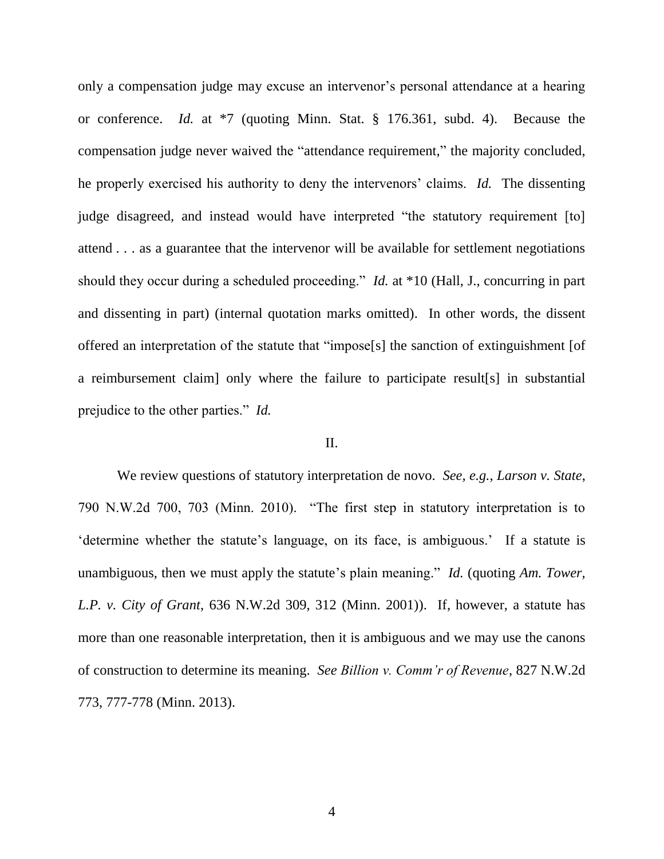only a compensation judge may excuse an intervenor's personal attendance at a hearing or conference. *Id.* at \*7 (quoting Minn. Stat. § 176.361, subd. 4). Because the compensation judge never waived the "attendance requirement," the majority concluded, he properly exercised his authority to deny the intervenors' claims. *Id.* The dissenting judge disagreed, and instead would have interpreted "the statutory requirement [to] attend . . . as a guarantee that the intervenor will be available for settlement negotiations should they occur during a scheduled proceeding." *Id.* at \*10 (Hall, J., concurring in part and dissenting in part) (internal quotation marks omitted). In other words, the dissent offered an interpretation of the statute that "impose[s] the sanction of extinguishment [of a reimbursement claim] only where the failure to participate result[s] in substantial prejudice to the other parties." *Id.*

#### II.

We review questions of statutory interpretation de novo. *See, e.g.*, *Larson v. State*, 790 N.W.2d 700, 703 (Minn. 2010). "The first step in statutory interpretation is to 'determine whether the statute's language, on its face, is ambiguous.' If a statute is unambiguous, then we must apply the statute's plain meaning." *Id.* (quoting *Am. Tower, L.P. v. City of Grant*, 636 N.W.2d 309, 312 (Minn. 2001)). If, however, a statute has more than one reasonable interpretation, then it is ambiguous and we may use the canons of construction to determine its meaning. *See Billion v. Comm'r of Revenue*, 827 N.W.2d 773, 777-778 (Minn. 2013).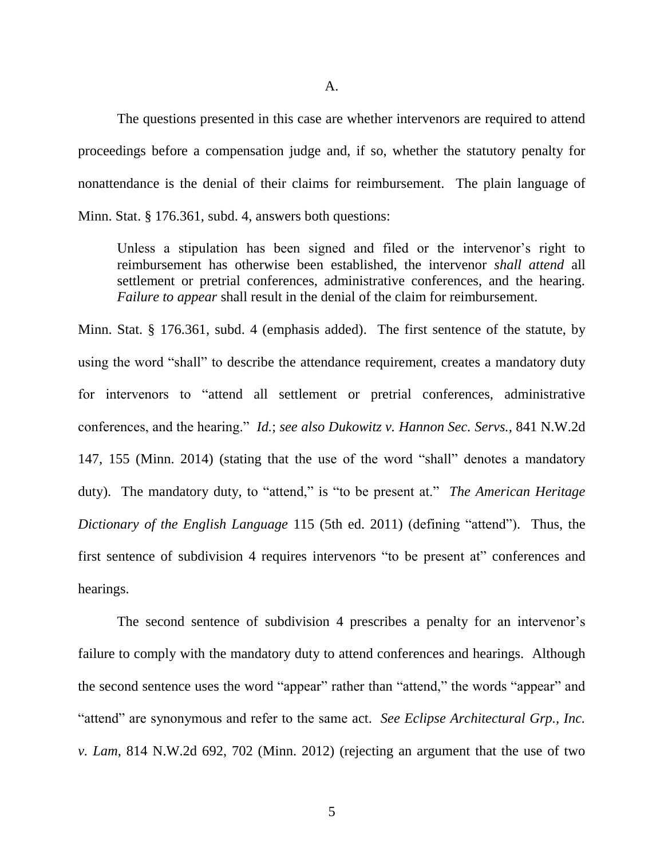A.

The questions presented in this case are whether intervenors are required to attend proceedings before a compensation judge and, if so, whether the statutory penalty for nonattendance is the denial of their claims for reimbursement. The plain language of Minn. Stat. § 176.361, subd. 4, answers both questions:

Unless a stipulation has been signed and filed or the intervenor's right to reimbursement has otherwise been established, the intervenor *shall attend* all settlement or pretrial conferences, administrative conferences, and the hearing. *Failure to appear* shall result in the denial of the claim for reimbursement.

Minn. Stat. § 176.361, subd. 4 (emphasis added). The first sentence of the statute, by using the word "shall" to describe the attendance requirement, creates a mandatory duty for intervenors to "attend all settlement or pretrial conferences, administrative conferences, and the hearing." *Id.*; *see also Dukowitz v. Hannon Sec. Servs.*, 841 N.W.2d 147, 155 (Minn. 2014) (stating that the use of the word "shall" denotes a mandatory duty). The mandatory duty, to "attend," is "to be present at." *The American Heritage Dictionary of the English Language* 115 (5th ed. 2011) (defining "attend"). Thus, the first sentence of subdivision 4 requires intervenors "to be present at" conferences and hearings.

The second sentence of subdivision 4 prescribes a penalty for an intervenor's failure to comply with the mandatory duty to attend conferences and hearings. Although the second sentence uses the word "appear" rather than "attend," the words "appear" and "attend" are synonymous and refer to the same act. *See Eclipse Architectural Grp., Inc. v. Lam*, 814 N.W.2d 692, 702 (Minn. 2012) (rejecting an argument that the use of two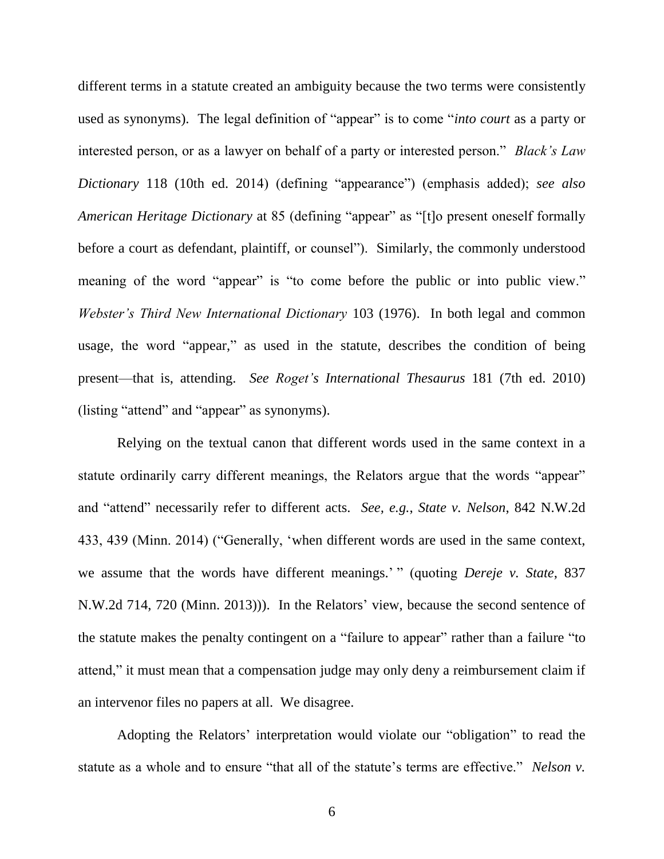different terms in a statute created an ambiguity because the two terms were consistently used as synonyms). The legal definition of "appear" is to come "*into court* as a party or interested person, or as a lawyer on behalf of a party or interested person." *Black's Law Dictionary* 118 (10th ed. 2014) (defining "appearance") (emphasis added); *see also American Heritage Dictionary* at 85 (defining "appear" as "[t]o present oneself formally before a court as defendant, plaintiff, or counsel"). Similarly, the commonly understood meaning of the word "appear" is "to come before the public or into public view." *Webster's Third New International Dictionary* 103 (1976). In both legal and common usage, the word "appear," as used in the statute, describes the condition of being present—that is, attending. *See Roget's International Thesaurus* 181 (7th ed. 2010) (listing "attend" and "appear" as synonyms).

Relying on the textual canon that different words used in the same context in a statute ordinarily carry different meanings, the Relators argue that the words "appear" and "attend" necessarily refer to different acts. *See, e.g.*, *State v. Nelson*, 842 N.W.2d 433, 439 (Minn. 2014) ("Generally, 'when different words are used in the same context, we assume that the words have different meanings.' " (quoting *Dereje v. State*, 837 N.W.2d 714, 720 (Minn. 2013))). In the Relators' view, because the second sentence of the statute makes the penalty contingent on a "failure to appear" rather than a failure "to attend," it must mean that a compensation judge may only deny a reimbursement claim if an intervenor files no papers at all. We disagree.

Adopting the Relators' interpretation would violate our "obligation" to read the statute as a whole and to ensure "that all of the statute's terms are effective." *Nelson v.* 

6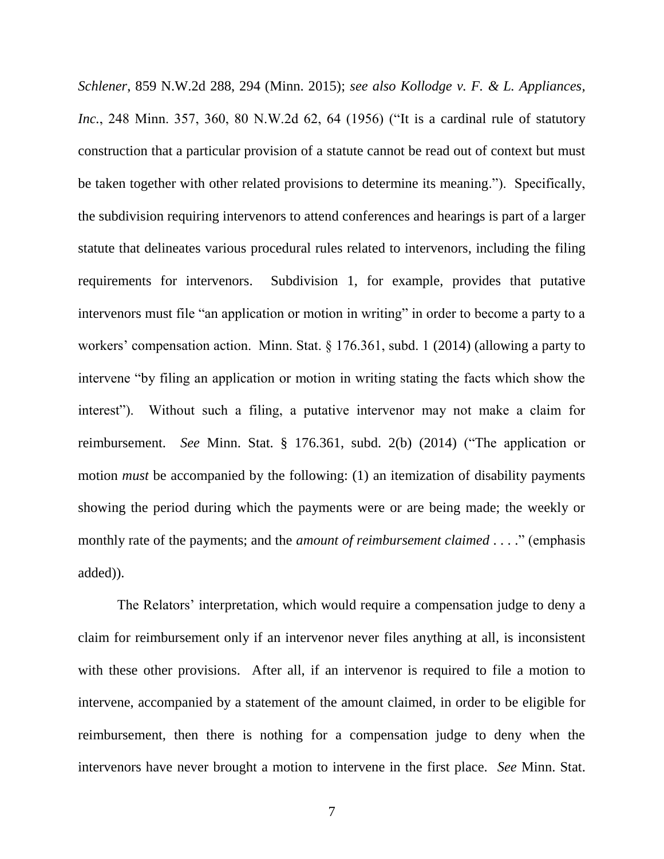*Schlener*, 859 N.W.2d 288, 294 (Minn. 2015); *see also Kollodge v. F. & L. Appliances, Inc.*, 248 Minn. 357, 360, 80 N.W.2d 62, 64 (1956) ("It is a cardinal rule of statutory construction that a particular provision of a statute cannot be read out of context but must be taken together with other related provisions to determine its meaning."). Specifically, the subdivision requiring intervenors to attend conferences and hearings is part of a larger statute that delineates various procedural rules related to intervenors, including the filing requirements for intervenors. Subdivision 1, for example, provides that putative intervenors must file "an application or motion in writing" in order to become a party to a workers' compensation action. Minn. Stat. § 176.361, subd. 1 (2014) (allowing a party to intervene "by filing an application or motion in writing stating the facts which show the interest"). Without such a filing, a putative intervenor may not make a claim for reimbursement. *See* Minn. Stat. § 176.361, subd. 2(b) (2014) ("The application or motion *must* be accompanied by the following: (1) an itemization of disability payments showing the period during which the payments were or are being made; the weekly or monthly rate of the payments; and the *amount of reimbursement claimed* . . . ." (emphasis added)).

The Relators' interpretation, which would require a compensation judge to deny a claim for reimbursement only if an intervenor never files anything at all, is inconsistent with these other provisions. After all, if an intervenor is required to file a motion to intervene, accompanied by a statement of the amount claimed, in order to be eligible for reimbursement, then there is nothing for a compensation judge to deny when the intervenors have never brought a motion to intervene in the first place. *See* Minn. Stat.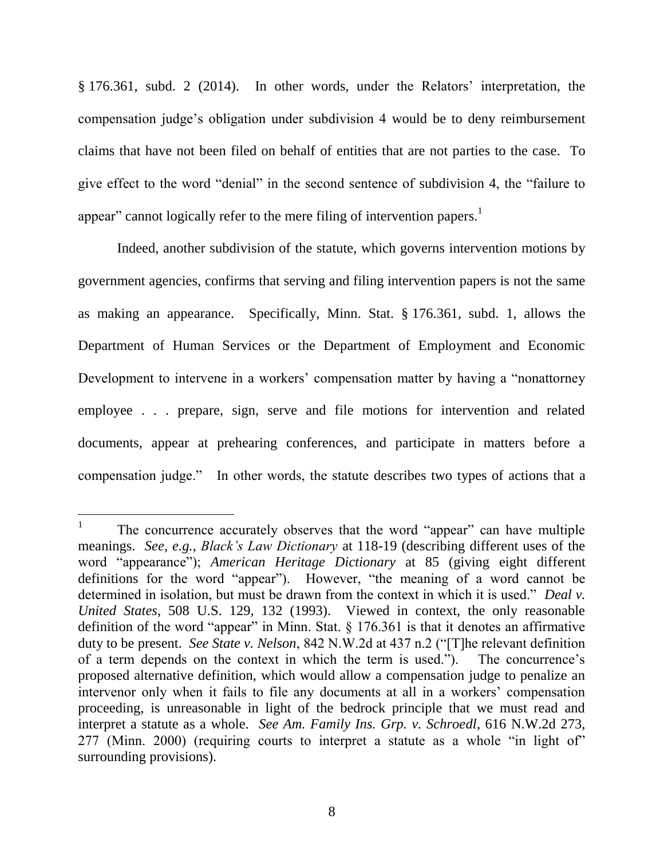§ 176.361, subd. 2 (2014). In other words, under the Relators' interpretation, the compensation judge's obligation under subdivision 4 would be to deny reimbursement claims that have not been filed on behalf of entities that are not parties to the case. To give effect to the word "denial" in the second sentence of subdivision 4, the "failure to appear" cannot logically refer to the mere filing of intervention papers.<sup>1</sup>

Indeed, another subdivision of the statute, which governs intervention motions by government agencies, confirms that serving and filing intervention papers is not the same as making an appearance. Specifically, Minn. Stat. § 176.361, subd. 1, allows the Department of Human Services or the Department of Employment and Economic Development to intervene in a workers' compensation matter by having a "nonattorney employee . . . prepare, sign, serve and file motions for intervention and related documents, appear at prehearing conferences, and participate in matters before a compensation judge." In other words, the statute describes two types of actions that a

 $\overline{a}$ 

<sup>1</sup> The concurrence accurately observes that the word "appear" can have multiple meanings. *See, e.g.*, *Black's Law Dictionary* at 118-19 (describing different uses of the word "appearance"); *American Heritage Dictionary* at 85 (giving eight different definitions for the word "appear"). However, "the meaning of a word cannot be determined in isolation, but must be drawn from the context in which it is used." *Deal v. United States*, 508 U.S. 129, 132 (1993). Viewed in context, the only reasonable definition of the word "appear" in Minn. Stat.  $\S 176.361$  is that it denotes an affirmative duty to be present. *See State v. Nelson*, 842 N.W.2d at 437 n.2 ("[T]he relevant definition of a term depends on the context in which the term is used."). The concurrence's proposed alternative definition, which would allow a compensation judge to penalize an intervenor only when it fails to file any documents at all in a workers' compensation proceeding, is unreasonable in light of the bedrock principle that we must read and interpret a statute as a whole. *See Am. Family Ins. Grp. v. Schroedl*, 616 N.W.2d 273, 277 (Minn. 2000) (requiring courts to interpret a statute as a whole "in light of" surrounding provisions).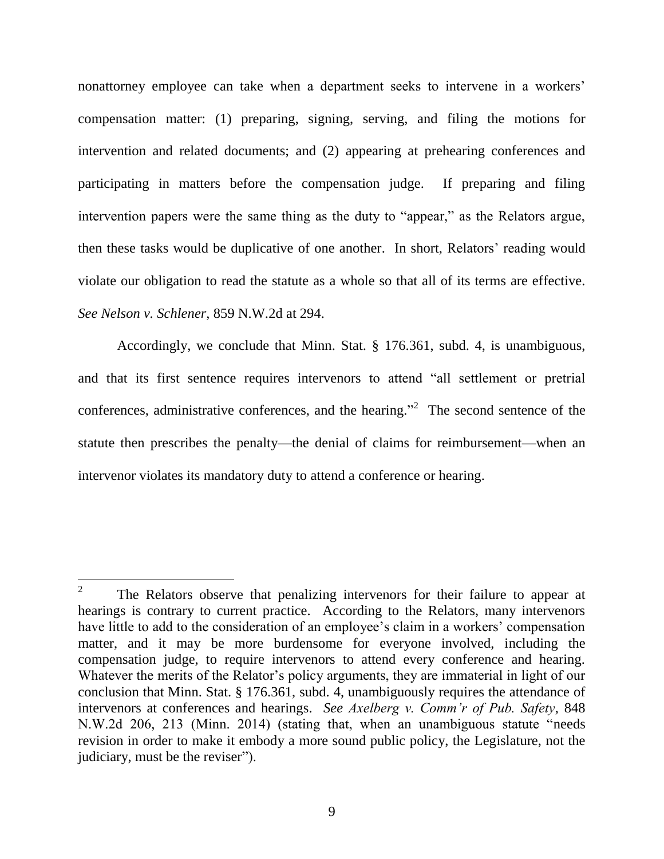nonattorney employee can take when a department seeks to intervene in a workers' compensation matter: (1) preparing, signing, serving, and filing the motions for intervention and related documents; and (2) appearing at prehearing conferences and participating in matters before the compensation judge. If preparing and filing intervention papers were the same thing as the duty to "appear," as the Relators argue, then these tasks would be duplicative of one another. In short, Relators' reading would violate our obligation to read the statute as a whole so that all of its terms are effective. *See Nelson v. Schlener*, 859 N.W.2d at 294.

Accordingly, we conclude that Minn. Stat. § 176.361, subd. 4, is unambiguous, and that its first sentence requires intervenors to attend "all settlement or pretrial conferences, administrative conferences, and the hearing."<sup>2</sup> The second sentence of the statute then prescribes the penalty—the denial of claims for reimbursement—when an intervenor violates its mandatory duty to attend a conference or hearing.

<sup>2</sup> The Relators observe that penalizing intervenors for their failure to appear at hearings is contrary to current practice. According to the Relators, many intervenors have little to add to the consideration of an employee's claim in a workers' compensation matter, and it may be more burdensome for everyone involved, including the compensation judge, to require intervenors to attend every conference and hearing. Whatever the merits of the Relator's policy arguments, they are immaterial in light of our conclusion that Minn. Stat. § 176.361, subd. 4, unambiguously requires the attendance of intervenors at conferences and hearings. *See Axelberg v. Comm'r of Pub. Safety*, 848 N.W.2d 206, 213 (Minn. 2014) (stating that, when an unambiguous statute "needs revision in order to make it embody a more sound public policy, the Legislature, not the judiciary, must be the reviser").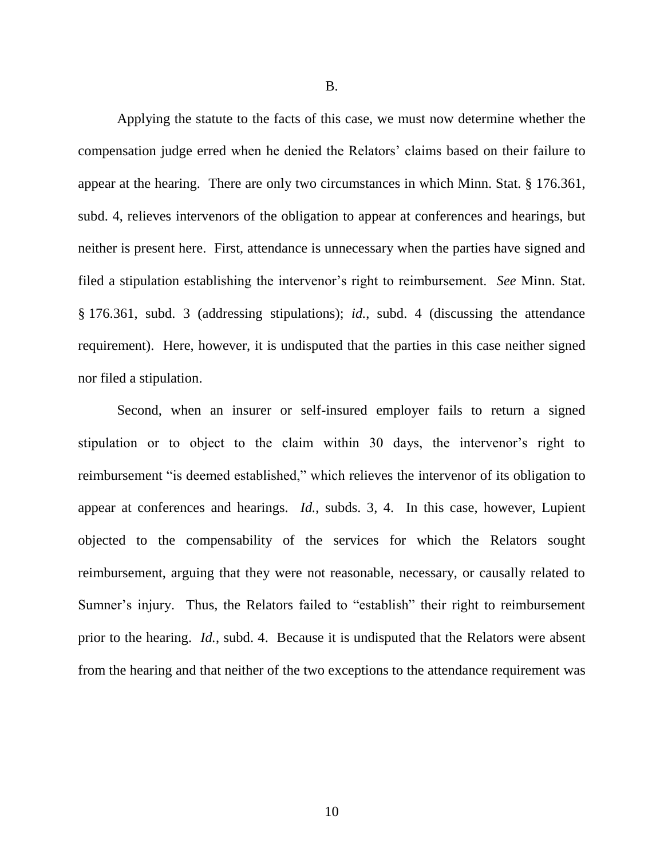B.

Applying the statute to the facts of this case, we must now determine whether the compensation judge erred when he denied the Relators' claims based on their failure to appear at the hearing. There are only two circumstances in which Minn. Stat. § 176.361, subd. 4, relieves intervenors of the obligation to appear at conferences and hearings, but neither is present here. First, attendance is unnecessary when the parties have signed and filed a stipulation establishing the intervenor's right to reimbursement. *See* Minn. Stat. § 176.361, subd. 3 (addressing stipulations); *id.*, subd. 4 (discussing the attendance requirement). Here, however, it is undisputed that the parties in this case neither signed nor filed a stipulation.

Second, when an insurer or self-insured employer fails to return a signed stipulation or to object to the claim within 30 days, the intervenor's right to reimbursement "is deemed established," which relieves the intervenor of its obligation to appear at conferences and hearings. *Id.*, subds. 3, 4. In this case, however, Lupient objected to the compensability of the services for which the Relators sought reimbursement, arguing that they were not reasonable, necessary, or causally related to Sumner's injury. Thus, the Relators failed to "establish" their right to reimbursement prior to the hearing. *Id.*, subd. 4. Because it is undisputed that the Relators were absent from the hearing and that neither of the two exceptions to the attendance requirement was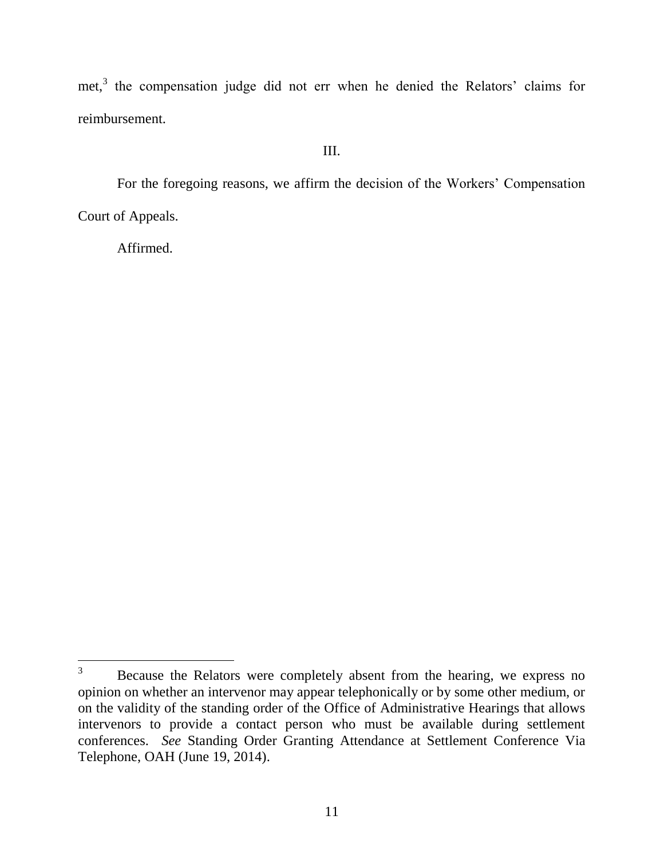met,<sup>3</sup> the compensation judge did not err when he denied the Relators' claims for reimbursement.

## III.

For the foregoing reasons, we affirm the decision of the Workers' Compensation Court of Appeals.

Affirmed.

 $\overline{3}$ <sup>3</sup> Because the Relators were completely absent from the hearing, we express no opinion on whether an intervenor may appear telephonically or by some other medium, or on the validity of the standing order of the Office of Administrative Hearings that allows intervenors to provide a contact person who must be available during settlement conferences. *See* Standing Order Granting Attendance at Settlement Conference Via Telephone, OAH (June 19, 2014).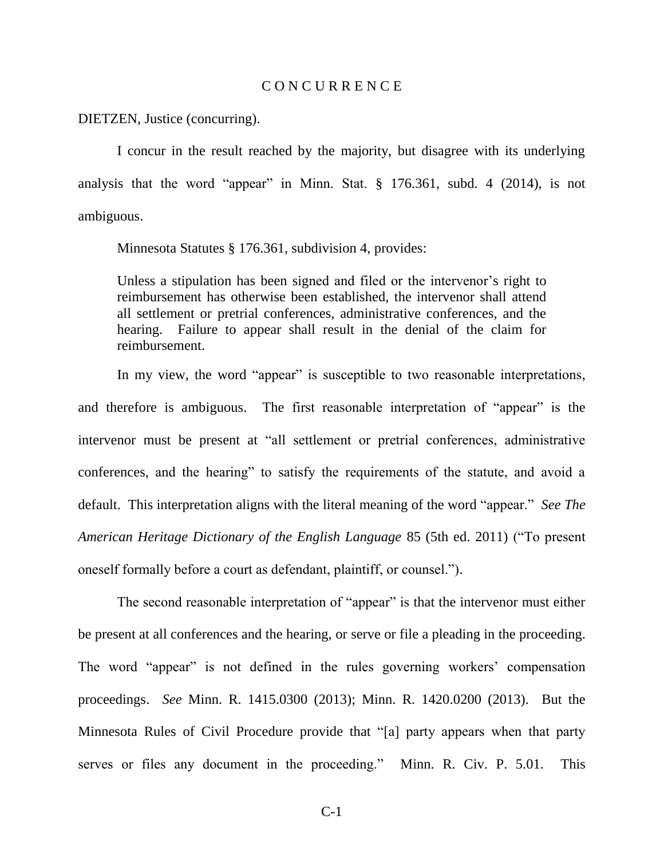#### C O N C U R R E N C E

DIETZEN, Justice (concurring).

I concur in the result reached by the majority, but disagree with its underlying analysis that the word "appear" in Minn. Stat. § 176.361, subd. 4 (2014), is not ambiguous.

Minnesota Statutes § 176.361, subdivision 4, provides:

Unless a stipulation has been signed and filed or the intervenor's right to reimbursement has otherwise been established, the intervenor shall attend all settlement or pretrial conferences, administrative conferences, and the hearing. Failure to appear shall result in the denial of the claim for reimbursement.

In my view, the word "appear" is susceptible to two reasonable interpretations, and therefore is ambiguous. The first reasonable interpretation of "appear" is the intervenor must be present at "all settlement or pretrial conferences, administrative conferences, and the hearing" to satisfy the requirements of the statute, and avoid a default. This interpretation aligns with the literal meaning of the word "appear." *See The American Heritage Dictionary of the English Language* 85 (5th ed. 2011) ("To present oneself formally before a court as defendant, plaintiff, or counsel.").

The second reasonable interpretation of "appear" is that the intervenor must either be present at all conferences and the hearing, or serve or file a pleading in the proceeding. The word "appear" is not defined in the rules governing workers' compensation proceedings. *See* Minn. R. 1415.0300 (2013); Minn. R. 1420.0200 (2013). But the Minnesota Rules of Civil Procedure provide that "[a] party appears when that party serves or files any document in the proceeding." Minn. R. Civ. P. 5.01. This